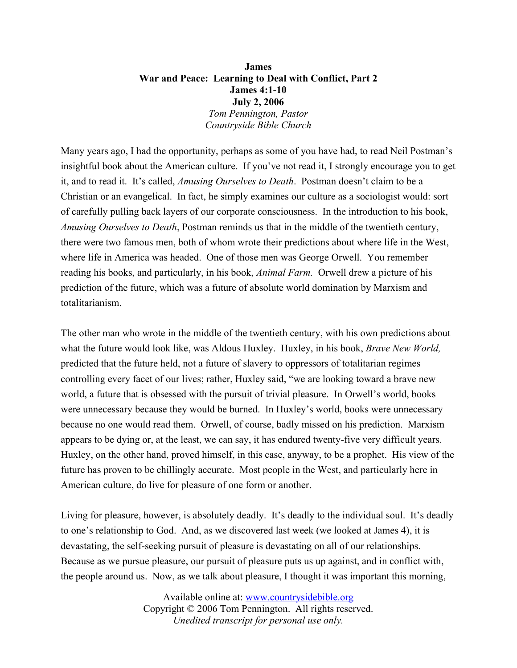## **James War and Peace: Learning to Deal with Conflict, Part 2 James 4:1-10 July 2, 2006** *Tom Pennington, Pastor Countryside Bible Church*

Many years ago, I had the opportunity, perhaps as some of you have had, to read Neil Postman's insightful book about the American culture. If you've not read it, I strongly encourage you to get it, and to read it. It's called, *Amusing Ourselves to Death*. Postman doesn't claim to be a Christian or an evangelical. In fact, he simply examines our culture as a sociologist would: sort of carefully pulling back layers of our corporate consciousness. In the introduction to his book, *Amusing Ourselves to Death*, Postman reminds us that in the middle of the twentieth century, there were two famous men, both of whom wrote their predictions about where life in the West, where life in America was headed. One of those men was George Orwell. You remember reading his books, and particularly, in his book, *Animal Farm.* Orwell drew a picture of his prediction of the future, which was a future of absolute world domination by Marxism and totalitarianism.

The other man who wrote in the middle of the twentieth century, with his own predictions about what the future would look like, was Aldous Huxley. Huxley, in his book, *Brave New World,* predicted that the future held, not a future of slavery to oppressors of totalitarian regimes controlling every facet of our lives; rather, Huxley said, "we are looking toward a brave new world, a future that is obsessed with the pursuit of trivial pleasure. In Orwell's world, books were unnecessary because they would be burned. In Huxley's world, books were unnecessary because no one would read them. Orwell, of course, badly missed on his prediction. Marxism appears to be dying or, at the least, we can say, it has endured twenty-five very difficult years. Huxley, on the other hand, proved himself, in this case, anyway, to be a prophet. His view of the future has proven to be chillingly accurate. Most people in the West, and particularly here in American culture, do live for pleasure of one form or another.

Living for pleasure, however, is absolutely deadly. It's deadly to the individual soul. It's deadly to one's relationship to God. And, as we discovered last week (we looked at James 4), it is devastating, the self-seeking pursuit of pleasure is devastating on all of our relationships. Because as we pursue pleasure, our pursuit of pleasure puts us up against, and in conflict with, the people around us. Now, as we talk about pleasure, I thought it was important this morning,

> Available online at: [www.countrysidebible.org](http://www.countrysidebible.org/) Copyright © 2006 Tom Pennington. All rights reserved. *Unedited transcript for personal use only.*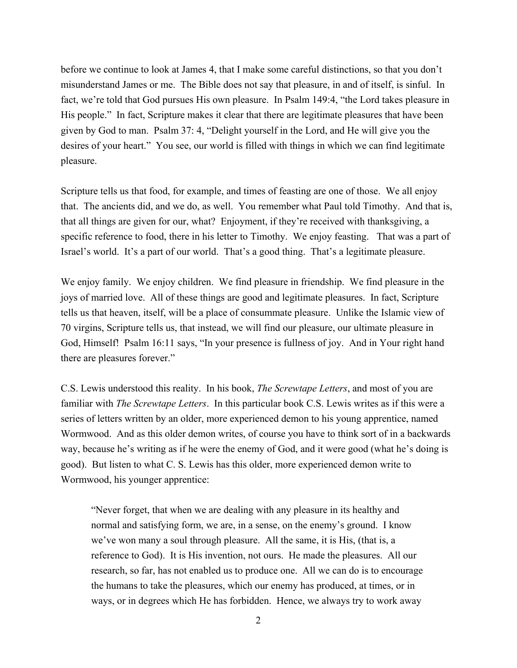before we continue to look at James 4, that I make some careful distinctions, so that you don't misunderstand James or me. The Bible does not say that pleasure, in and of itself, is sinful. In fact, we're told that God pursues His own pleasure. In Psalm 149:4, "the Lord takes pleasure in His people." In fact, Scripture makes it clear that there are legitimate pleasures that have been given by God to man. Psalm 37: 4, "Delight yourself in the Lord, and He will give you the desires of your heart." You see, our world is filled with things in which we can find legitimate pleasure.

Scripture tells us that food, for example, and times of feasting are one of those. We all enjoy that. The ancients did, and we do, as well. You remember what Paul told Timothy. And that is, that all things are given for our, what? Enjoyment, if they're received with thanksgiving, a specific reference to food, there in his letter to Timothy. We enjoy feasting. That was a part of Israel's world. It's a part of our world. That's a good thing. That's a legitimate pleasure.

We enjoy family. We enjoy children. We find pleasure in friendship. We find pleasure in the joys of married love. All of these things are good and legitimate pleasures. In fact, Scripture tells us that heaven, itself, will be a place of consummate pleasure. Unlike the Islamic view of 70 virgins, Scripture tells us, that instead, we will find our pleasure, our ultimate pleasure in God, Himself! Psalm 16:11 says, "In your presence is fullness of joy. And in Your right hand there are pleasures forever."

C.S. Lewis understood this reality. In his book, *The Screwtape Letters*, and most of you are familiar with *The Screwtape Letters*. In this particular book C.S. Lewis writes as if this were a series of letters written by an older, more experienced demon to his young apprentice, named Wormwood. And as this older demon writes, of course you have to think sort of in a backwards way, because he's writing as if he were the enemy of God, and it were good (what he's doing is good). But listen to what C. S. Lewis has this older, more experienced demon write to Wormwood, his younger apprentice:

"Never forget, that when we are dealing with any pleasure in its healthy and normal and satisfying form, we are, in a sense, on the enemy's ground. I know we've won many a soul through pleasure. All the same, it is His, (that is, a reference to God). It is His invention, not ours. He made the pleasures. All our research, so far, has not enabled us to produce one. All we can do is to encourage the humans to take the pleasures, which our enemy has produced, at times, or in ways, or in degrees which He has forbidden. Hence, we always try to work away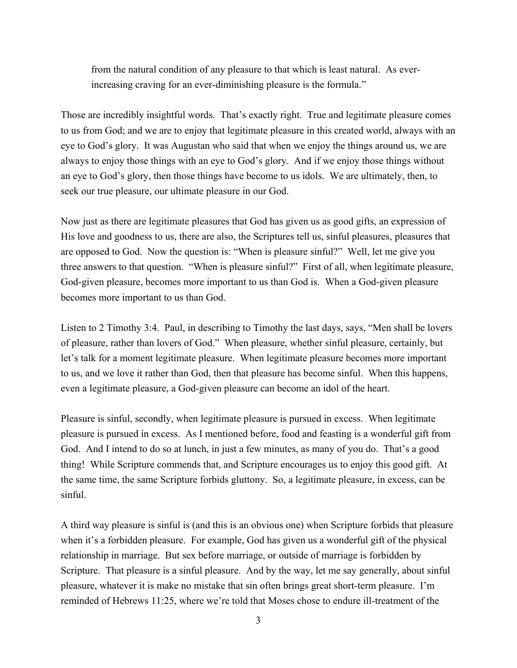from the natural condition of any pleasure to that which is least natural. As everincreasing craving for an ever-diminishing pleasure is the formula."

Those are incredibly insightful words. That's exactly right. True and legitimate pleasure comes to us from God; and we are to enjoy that legitimate pleasure in this created world, always with an eye to God's glory. It was Augustan who said that when we enjoy the things around us, we are always to enjoy those things with an eye to God's glory. And if we enjoy those things without an eye to God's glory, then those things have become to us idols. We are ultimately, then, to seek our true pleasure, our ultimate pleasure in our God.

Now just as there are legitimate pleasures that God has given us as good gifts, an expression of His love and goodness to us, there are also, the Scriptures tell us, sinful pleasures, pleasures that are opposed to God. Now the question is: "When is pleasure sinful?" Well, let me give you three answers to that question. "When is pleasure sinful?" First of all, when legitimate pleasure, God-given pleasure, becomes more important to us than God is. When a God-given pleasure becomes more important to us than God.

Listen to 2 Timothy 3:4. Paul, in describing to Timothy the last days, says, "Men shall be lovers of pleasure, rather than lovers of God." When pleasure, whether sinful pleasure, certainly, but let's talk for a moment legitimate pleasure. When legitimate pleasure becomes more important to us, and we love it rather than God, then that pleasure has become sinful. When this happens, even a legitimate pleasure, a God-given pleasure can become an idol of the heart.

Pleasure is sinful, secondly, when legitimate pleasure is pursued in excess. When legitimate pleasure is pursued in excess. As I mentioned before, food and feasting is a wonderful gift from God. And I intend to do so at lunch, in just a few minutes, as many of you do. That's a good thing! While Scripture commends that, and Scripture encourages us to enjoy this good gift. At the same time, the same Scripture forbids gluttony. So, a legitimate pleasure, in excess, can be sinful.

A third way pleasure is sinful is (and this is an obvious one) when Scripture forbids that pleasure when it's a forbidden pleasure. For example, God has given us a wonderful gift of the physical relationship in marriage. But sex before marriage, or outside of marriage is forbidden by Scripture. That pleasure is a sinful pleasure. And by the way, let me say generally, about sinful pleasure, whatever it is make no mistake that sin often brings great short-term pleasure. I'm reminded of Hebrews 11:25, where we're told that Moses chose to endure ill-treatment of the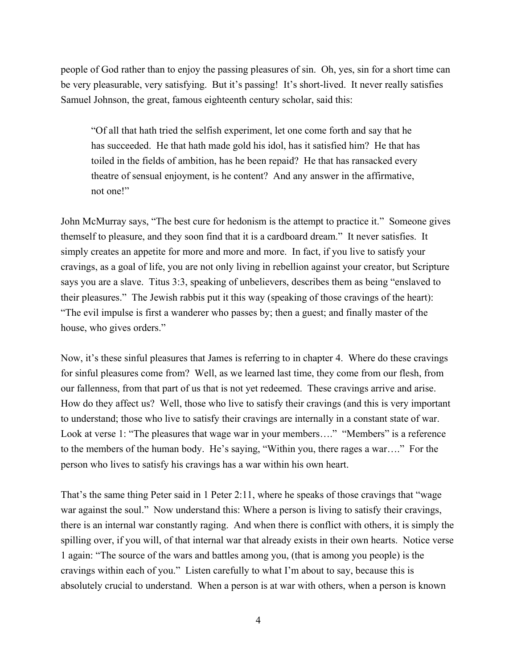people of God rather than to enjoy the passing pleasures of sin. Oh, yes, sin for a short time can be very pleasurable, very satisfying. But it's passing! It's short-lived. It never really satisfies Samuel Johnson, the great, famous eighteenth century scholar, said this:

"Of all that hath tried the selfish experiment, let one come forth and say that he has succeeded. He that hath made gold his idol, has it satisfied him? He that has toiled in the fields of ambition, has he been repaid? He that has ransacked every theatre of sensual enjoyment, is he content? And any answer in the affirmative, not one!"

John McMurray says, "The best cure for hedonism is the attempt to practice it." Someone gives themself to pleasure, and they soon find that it is a cardboard dream." It never satisfies. It simply creates an appetite for more and more and more. In fact, if you live to satisfy your cravings, as a goal of life, you are not only living in rebellion against your creator, but Scripture says you are a slave. Titus 3:3, speaking of unbelievers, describes them as being "enslaved to their pleasures." The Jewish rabbis put it this way (speaking of those cravings of the heart): "The evil impulse is first a wanderer who passes by; then a guest; and finally master of the house, who gives orders."

Now, it's these sinful pleasures that James is referring to in chapter 4. Where do these cravings for sinful pleasures come from? Well, as we learned last time, they come from our flesh, from our fallenness, from that part of us that is not yet redeemed. These cravings arrive and arise. How do they affect us? Well, those who live to satisfy their cravings (and this is very important to understand; those who live to satisfy their cravings are internally in a constant state of war. Look at verse 1: "The pleasures that wage war in your members...." "Members" is a reference to the members of the human body. He's saying, "Within you, there rages a war…." For the person who lives to satisfy his cravings has a war within his own heart.

That's the same thing Peter said in 1 Peter 2:11, where he speaks of those cravings that "wage war against the soul." Now understand this: Where a person is living to satisfy their cravings, there is an internal war constantly raging. And when there is conflict with others, it is simply the spilling over, if you will, of that internal war that already exists in their own hearts. Notice verse 1 again: "The source of the wars and battles among you, (that is among you people) is the cravings within each of you." Listen carefully to what I'm about to say, because this is absolutely crucial to understand. When a person is at war with others, when a person is known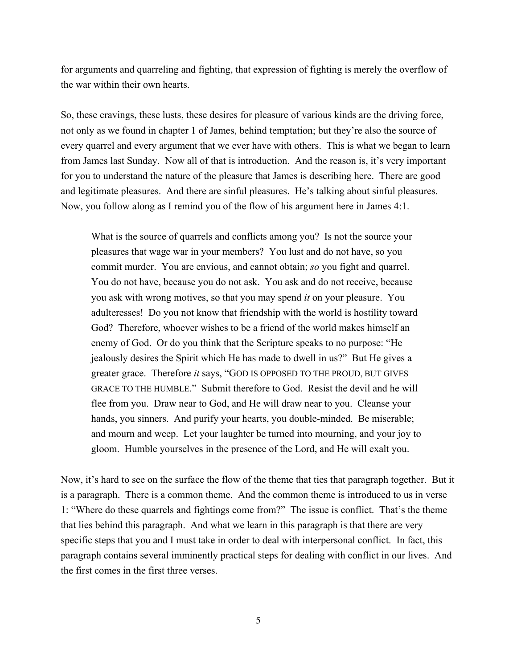for arguments and quarreling and fighting, that expression of fighting is merely the overflow of the war within their own hearts.

So, these cravings, these lusts, these desires for pleasure of various kinds are the driving force, not only as we found in chapter 1 of James, behind temptation; but they're also the source of every quarrel and every argument that we ever have with others. This is what we began to learn from James last Sunday. Now all of that is introduction. And the reason is, it's very important for you to understand the nature of the pleasure that James is describing here. There are good and legitimate pleasures. And there are sinful pleasures. He's talking about sinful pleasures. Now, you follow along as I remind you of the flow of his argument here in James 4:1.

What is the source of quarrels and conflicts among you? Is not the source your pleasures that wage war in your members? You lust and do not have, so you commit murder. You are envious, and cannot obtain; *so* you fight and quarrel. You do not have, because you do not ask. You ask and do not receive, because you ask with wrong motives, so that you may spend *it* on your pleasure. You adulteresses! Do you not know that friendship with the world is hostility toward God? Therefore, whoever wishes to be a friend of the world makes himself an enemy of God. Or do you think that the Scripture speaks to no purpose: "He jealously desires the Spirit which He has made to dwell in us?" But He gives a greater grace. Therefore *it* says, "GOD IS OPPOSED TO THE PROUD, BUT GIVES GRACE TO THE HUMBLE." Submit therefore to God. Resist the devil and he will flee from you. Draw near to God, and He will draw near to you. Cleanse your hands, you sinners. And purify your hearts, you double-minded. Be miserable; and mourn and weep. Let your laughter be turned into mourning, and your joy to gloom. Humble yourselves in the presence of the Lord, and He will exalt you.

Now, it's hard to see on the surface the flow of the theme that ties that paragraph together. But it is a paragraph. There is a common theme. And the common theme is introduced to us in verse 1: "Where do these quarrels and fightings come from?" The issue is conflict. That's the theme that lies behind this paragraph. And what we learn in this paragraph is that there are very specific steps that you and I must take in order to deal with interpersonal conflict. In fact, this paragraph contains several imminently practical steps for dealing with conflict in our lives. And the first comes in the first three verses.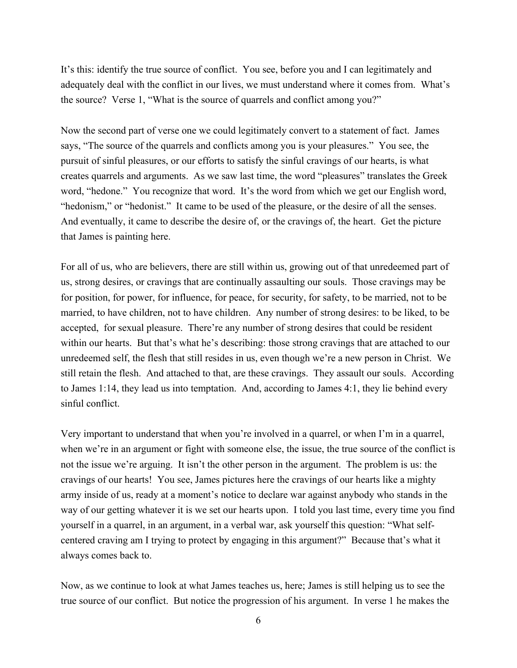It's this: identify the true source of conflict. You see, before you and I can legitimately and adequately deal with the conflict in our lives, we must understand where it comes from. What's the source? Verse 1, "What is the source of quarrels and conflict among you?"

Now the second part of verse one we could legitimately convert to a statement of fact. James says, "The source of the quarrels and conflicts among you is your pleasures." You see, the pursuit of sinful pleasures, or our efforts to satisfy the sinful cravings of our hearts, is what creates quarrels and arguments. As we saw last time, the word "pleasures" translates the Greek word, "hedone." You recognize that word. It's the word from which we get our English word, "hedonism," or "hedonist." It came to be used of the pleasure, or the desire of all the senses. And eventually, it came to describe the desire of, or the cravings of, the heart. Get the picture that James is painting here.

For all of us, who are believers, there are still within us, growing out of that unredeemed part of us, strong desires, or cravings that are continually assaulting our souls. Those cravings may be for position, for power, for influence, for peace, for security, for safety, to be married, not to be married, to have children, not to have children. Any number of strong desires: to be liked, to be accepted, for sexual pleasure. There're any number of strong desires that could be resident within our hearts. But that's what he's describing: those strong cravings that are attached to our unredeemed self, the flesh that still resides in us, even though we're a new person in Christ. We still retain the flesh. And attached to that, are these cravings. They assault our souls. According to James 1:14, they lead us into temptation. And, according to James 4:1, they lie behind every sinful conflict.

Very important to understand that when you're involved in a quarrel, or when I'm in a quarrel, when we're in an argument or fight with someone else, the issue, the true source of the conflict is not the issue we're arguing. It isn't the other person in the argument. The problem is us: the cravings of our hearts! You see, James pictures here the cravings of our hearts like a mighty army inside of us, ready at a moment's notice to declare war against anybody who stands in the way of our getting whatever it is we set our hearts upon. I told you last time, every time you find yourself in a quarrel, in an argument, in a verbal war, ask yourself this question: "What selfcentered craving am I trying to protect by engaging in this argument?" Because that's what it always comes back to.

Now, as we continue to look at what James teaches us, here; James is still helping us to see the true source of our conflict. But notice the progression of his argument. In verse 1 he makes the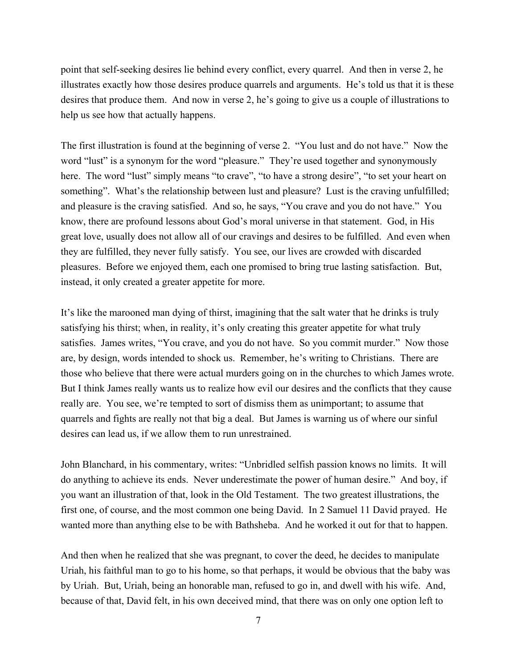point that self-seeking desires lie behind every conflict, every quarrel. And then in verse 2, he illustrates exactly how those desires produce quarrels and arguments. He's told us that it is these desires that produce them. And now in verse 2, he's going to give us a couple of illustrations to help us see how that actually happens.

The first illustration is found at the beginning of verse 2. "You lust and do not have." Now the word "lust" is a synonym for the word "pleasure." They're used together and synonymously here. The word "lust" simply means "to crave", "to have a strong desire", "to set your heart on something". What's the relationship between lust and pleasure? Lust is the craving unfulfilled; and pleasure is the craving satisfied. And so, he says, "You crave and you do not have." You know, there are profound lessons about God's moral universe in that statement. God, in His great love, usually does not allow all of our cravings and desires to be fulfilled. And even when they are fulfilled, they never fully satisfy. You see, our lives are crowded with discarded pleasures. Before we enjoyed them, each one promised to bring true lasting satisfaction. But, instead, it only created a greater appetite for more.

It's like the marooned man dying of thirst, imagining that the salt water that he drinks is truly satisfying his thirst; when, in reality, it's only creating this greater appetite for what truly satisfies. James writes, "You crave, and you do not have. So you commit murder." Now those are, by design, words intended to shock us. Remember, he's writing to Christians. There are those who believe that there were actual murders going on in the churches to which James wrote. But I think James really wants us to realize how evil our desires and the conflicts that they cause really are. You see, we're tempted to sort of dismiss them as unimportant; to assume that quarrels and fights are really not that big a deal. But James is warning us of where our sinful desires can lead us, if we allow them to run unrestrained.

John Blanchard, in his commentary, writes: "Unbridled selfish passion knows no limits. It will do anything to achieve its ends. Never underestimate the power of human desire." And boy, if you want an illustration of that, look in the Old Testament. The two greatest illustrations, the first one, of course, and the most common one being David. In 2 Samuel 11 David prayed. He wanted more than anything else to be with Bathsheba. And he worked it out for that to happen.

And then when he realized that she was pregnant, to cover the deed, he decides to manipulate Uriah, his faithful man to go to his home, so that perhaps, it would be obvious that the baby was by Uriah. But, Uriah, being an honorable man, refused to go in, and dwell with his wife. And, because of that, David felt, in his own deceived mind, that there was on only one option left to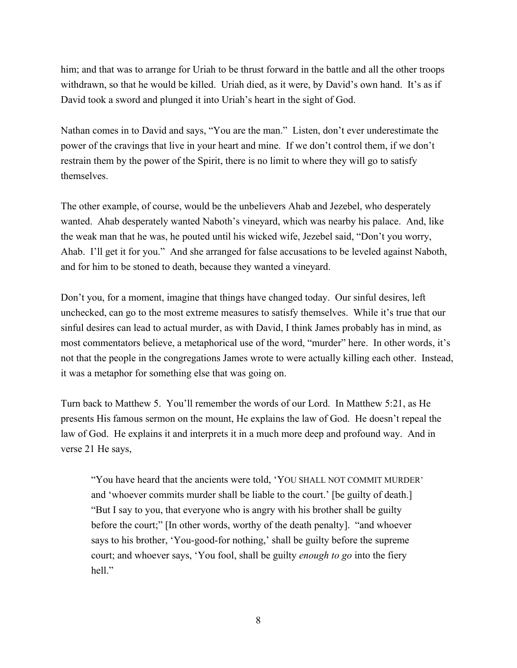him; and that was to arrange for Uriah to be thrust forward in the battle and all the other troops withdrawn, so that he would be killed. Uriah died, as it were, by David's own hand. It's as if David took a sword and plunged it into Uriah's heart in the sight of God.

Nathan comes in to David and says, "You are the man." Listen, don't ever underestimate the power of the cravings that live in your heart and mine. If we don't control them, if we don't restrain them by the power of the Spirit, there is no limit to where they will go to satisfy themselves.

The other example, of course, would be the unbelievers Ahab and Jezebel, who desperately wanted. Ahab desperately wanted Naboth's vineyard, which was nearby his palace. And, like the weak man that he was, he pouted until his wicked wife, Jezebel said, "Don't you worry, Ahab. I'll get it for you." And she arranged for false accusations to be leveled against Naboth, and for him to be stoned to death, because they wanted a vineyard.

Don't you, for a moment, imagine that things have changed today. Our sinful desires, left unchecked, can go to the most extreme measures to satisfy themselves. While it's true that our sinful desires can lead to actual murder, as with David, I think James probably has in mind, as most commentators believe, a metaphorical use of the word, "murder" here. In other words, it's not that the people in the congregations James wrote to were actually killing each other. Instead, it was a metaphor for something else that was going on.

Turn back to Matthew 5. You'll remember the words of our Lord. In Matthew 5:21, as He presents His famous sermon on the mount, He explains the law of God. He doesn't repeal the law of God. He explains it and interprets it in a much more deep and profound way. And in verse 21 He says,

"You have heard that the ancients were told, 'YOU SHALL NOT COMMIT MURDER' and 'whoever commits murder shall be liable to the court.' [be guilty of death.] "But I say to you, that everyone who is angry with his brother shall be guilty before the court;" [In other words, worthy of the death penalty]. "and whoever says to his brother, 'You-good-for nothing,' shall be guilty before the supreme court; and whoever says, 'You fool, shall be guilty *enough to go* into the fiery hell."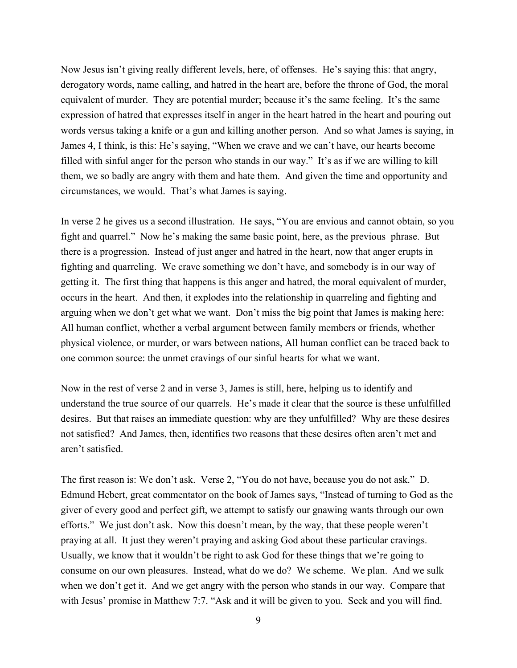Now Jesus isn't giving really different levels, here, of offenses. He's saying this: that angry, derogatory words, name calling, and hatred in the heart are, before the throne of God, the moral equivalent of murder. They are potential murder; because it's the same feeling. It's the same expression of hatred that expresses itself in anger in the heart hatred in the heart and pouring out words versus taking a knife or a gun and killing another person. And so what James is saying, in James 4, I think, is this: He's saying, "When we crave and we can't have, our hearts become filled with sinful anger for the person who stands in our way." It's as if we are willing to kill them, we so badly are angry with them and hate them. And given the time and opportunity and circumstances, we would. That's what James is saying.

In verse 2 he gives us a second illustration. He says, "You are envious and cannot obtain, so you fight and quarrel." Now he's making the same basic point, here, as the previous phrase. But there is a progression. Instead of just anger and hatred in the heart, now that anger erupts in fighting and quarreling. We crave something we don't have, and somebody is in our way of getting it. The first thing that happens is this anger and hatred, the moral equivalent of murder, occurs in the heart. And then, it explodes into the relationship in quarreling and fighting and arguing when we don't get what we want. Don't miss the big point that James is making here: All human conflict, whether a verbal argument between family members or friends, whether physical violence, or murder, or wars between nations, All human conflict can be traced back to one common source: the unmet cravings of our sinful hearts for what we want.

Now in the rest of verse 2 and in verse 3, James is still, here, helping us to identify and understand the true source of our quarrels. He's made it clear that the source is these unfulfilled desires. But that raises an immediate question: why are they unfulfilled? Why are these desires not satisfied? And James, then, identifies two reasons that these desires often aren't met and aren't satisfied.

The first reason is: We don't ask. Verse 2, "You do not have, because you do not ask." D. Edmund Hebert, great commentator on the book of James says, "Instead of turning to God as the giver of every good and perfect gift, we attempt to satisfy our gnawing wants through our own efforts." We just don't ask. Now this doesn't mean, by the way, that these people weren't praying at all. It just they weren't praying and asking God about these particular cravings. Usually, we know that it wouldn't be right to ask God for these things that we're going to consume on our own pleasures. Instead, what do we do? We scheme. We plan. And we sulk when we don't get it. And we get angry with the person who stands in our way. Compare that with Jesus' promise in Matthew 7:7. "Ask and it will be given to you. Seek and you will find.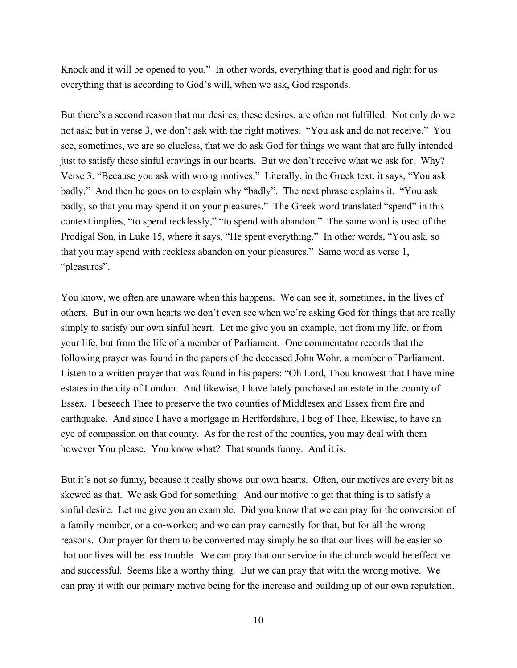Knock and it will be opened to you." In other words, everything that is good and right for us everything that is according to God's will, when we ask, God responds.

But there's a second reason that our desires, these desires, are often not fulfilled. Not only do we not ask; but in verse 3, we don't ask with the right motives. "You ask and do not receive." You see, sometimes, we are so clueless, that we do ask God for things we want that are fully intended just to satisfy these sinful cravings in our hearts. But we don't receive what we ask for. Why? Verse 3, "Because you ask with wrong motives." Literally, in the Greek text, it says, "You ask badly." And then he goes on to explain why "badly". The next phrase explains it. "You ask badly, so that you may spend it on your pleasures." The Greek word translated "spend" in this context implies, "to spend recklessly," "to spend with abandon." The same word is used of the Prodigal Son, in Luke 15, where it says, "He spent everything." In other words, "You ask, so that you may spend with reckless abandon on your pleasures." Same word as verse 1, "pleasures".

You know, we often are unaware when this happens. We can see it, sometimes, in the lives of others. But in our own hearts we don't even see when we're asking God for things that are really simply to satisfy our own sinful heart. Let me give you an example, not from my life, or from your life, but from the life of a member of Parliament. One commentator records that the following prayer was found in the papers of the deceased John Wohr, a member of Parliament. Listen to a written prayer that was found in his papers: "Oh Lord, Thou knowest that I have mine estates in the city of London. And likewise, I have lately purchased an estate in the county of Essex. I beseech Thee to preserve the two counties of Middlesex and Essex from fire and earthquake. And since I have a mortgage in Hertfordshire, I beg of Thee, likewise, to have an eye of compassion on that county. As for the rest of the counties, you may deal with them however You please. You know what? That sounds funny. And it is.

But it's not so funny, because it really shows our own hearts. Often, our motives are every bit as skewed as that. We ask God for something. And our motive to get that thing is to satisfy a sinful desire. Let me give you an example. Did you know that we can pray for the conversion of a family member, or a co-worker; and we can pray earnestly for that, but for all the wrong reasons. Our prayer for them to be converted may simply be so that our lives will be easier so that our lives will be less trouble. We can pray that our service in the church would be effective and successful. Seems like a worthy thing. But we can pray that with the wrong motive. We can pray it with our primary motive being for the increase and building up of our own reputation.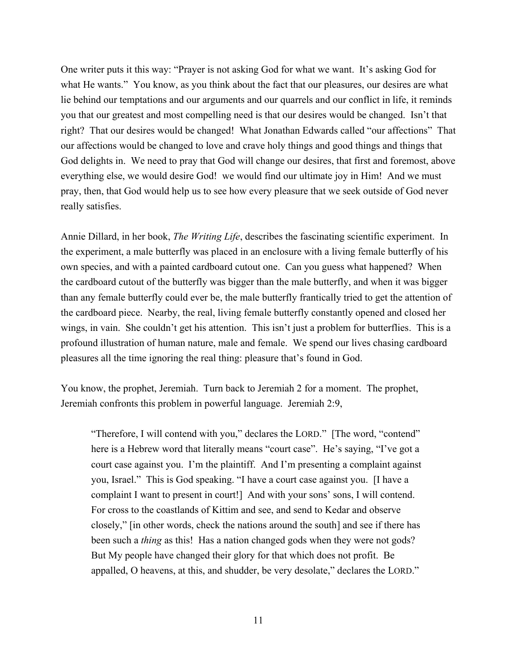One writer puts it this way: "Prayer is not asking God for what we want. It's asking God for what He wants." You know, as you think about the fact that our pleasures, our desires are what lie behind our temptations and our arguments and our quarrels and our conflict in life, it reminds you that our greatest and most compelling need is that our desires would be changed. Isn't that right? That our desires would be changed! What Jonathan Edwards called "our affections" That our affections would be changed to love and crave holy things and good things and things that God delights in. We need to pray that God will change our desires, that first and foremost, above everything else, we would desire God! we would find our ultimate joy in Him! And we must pray, then, that God would help us to see how every pleasure that we seek outside of God never really satisfies.

Annie Dillard, in her book, *The Writing Life*, describes the fascinating scientific experiment. In the experiment, a male butterfly was placed in an enclosure with a living female butterfly of his own species, and with a painted cardboard cutout one. Can you guess what happened? When the cardboard cutout of the butterfly was bigger than the male butterfly, and when it was bigger than any female butterfly could ever be, the male butterfly frantically tried to get the attention of the cardboard piece. Nearby, the real, living female butterfly constantly opened and closed her wings, in vain. She couldn't get his attention. This isn't just a problem for butterflies. This is a profound illustration of human nature, male and female. We spend our lives chasing cardboard pleasures all the time ignoring the real thing: pleasure that's found in God.

You know, the prophet, Jeremiah. Turn back to Jeremiah 2 for a moment. The prophet, Jeremiah confronts this problem in powerful language. Jeremiah 2:9,

"Therefore, I will contend with you," declares the LORD." [The word, "contend" here is a Hebrew word that literally means "court case". He's saying, "I've got a court case against you. I'm the plaintiff. And I'm presenting a complaint against you, Israel." This is God speaking. "I have a court case against you. [I have a complaint I want to present in court!] And with your sons' sons, I will contend. For cross to the coastlands of Kittim and see, and send to Kedar and observe closely," [in other words, check the nations around the south] and see if there has been such a *thing* as this! Has a nation changed gods when they were not gods? But My people have changed their glory for that which does not profit. Be appalled, O heavens, at this, and shudder, be very desolate," declares the LORD."